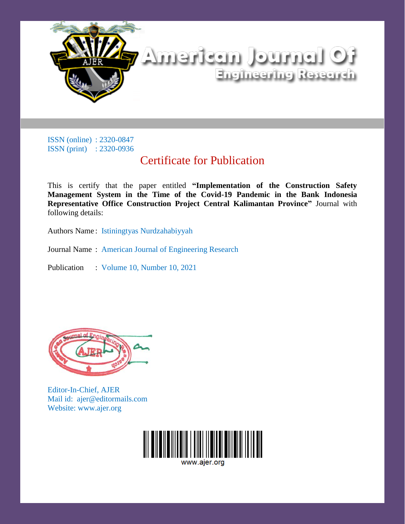

ISSN (online) : 2320-0847 ISSN (print) : 2320-0936

## Certificate for Publication

This is certify that the paper entitled **"Implementation of the Construction Safety Management System in the Time of the Covid-19 Pandemic in the Bank Indonesia Representative Office Construction Project Central Kalimantan Province"** Journal with following details:

Authors Name : Istiningtyas Nurdzahabiyyah

- Journal Name : American Journal of Engineering Research
- Publication : Volume 10, Number 10, 2021



Editor-In-Chief, AJER Mail id: ajer@editormails.com Website: www.ajer.org

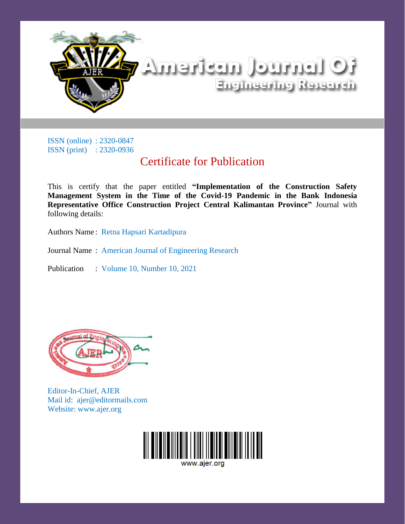

## iO listriuol tussfrettiA Engineering Research

ISSN (online) : 2320-0847 ISSN (print) : 2320-0936

## Certificate for Publication

This is certify that the paper entitled **"Implementation of the Construction Safety Management System in the Time of the Covid-19 Pandemic in the Bank Indonesia Representative Office Construction Project Central Kalimantan Province"** Journal with following details:

Authors Name : Retna Hapsari Kartadipura

Journal Name : American Journal of Engineering Research

Publication : Volume 10, Number 10, 2021



Editor-In-Chief, AJER Mail id: ajer@editormails.com Website: www.ajer.org